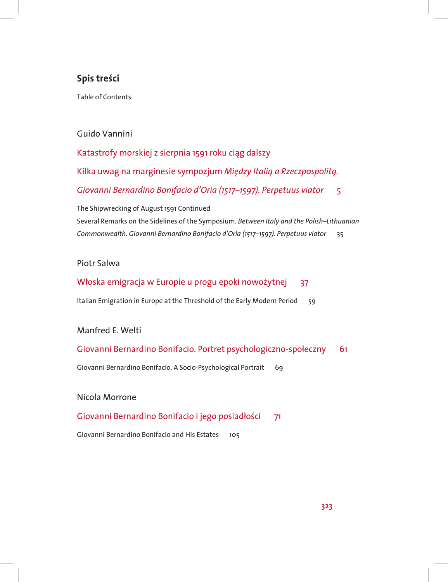# **Spis treści**

Table of Contents

## Guido Vannini

Katastrofy morskiej z sierpnia 1591 roku ciąg dalszy Kilka uwag na marginesie sympozjum *Między Italią a Rzeczpospolitą. Giovanni Bernardino Bonifacio d'Oria (1517–1597). Perpetuus viator* 5

The Shipwrecking of August 1591 Continued Several Remarks on the Sidelines of the Symposium. *Between Italy and the Polish–Lithuanian Commonwealth. Giovanni Bernardino Bonifacio d'Oria (1517–1597)*. *Perpetuus viator* 35

#### Piotr Salwa

### Włoska emigracja w Europie u progu epoki nowożytnej 37

Italian Emigration in Europe at the Threshold of the Early Modern Period 59

### Manfred E. Welti

### Giovanni Bernardino Bonifacio. Portret psychologiczno-społeczny 61

Giovanni Bernardino Bonifacio. A Socio-Psychological Portrait 69

#### Nicola Morrone

### Giovanni Bernardino Bonifacio i jego posiadłości 71

Giovanni Bernardino Bonifacio and His Estates 105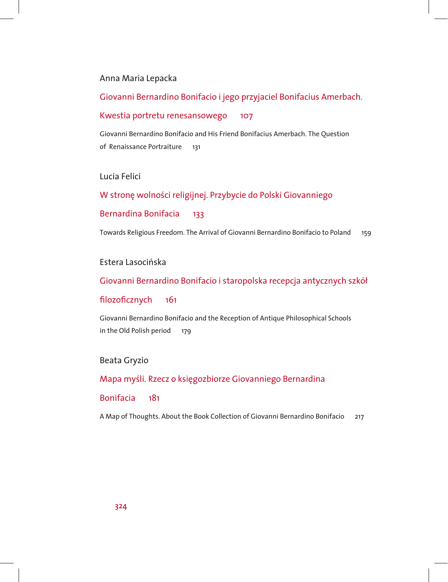### Anna Maria Lepacka

## Giovanni Bernardino Bonifacio i jego przyjaciel Bonifacius Amerbach.

#### Kwestia portretu renesansowego 107

Giovanni Bernardino Bonifacio and His Friend Bonifacius Amerbach. The Question of Renaissance Portraiture 131

### Lucia Felici

W stronę wolności religijnej. Przybycie do Polski Giovanniego

### Bernardina Bonifacia 133

Towards Religious Freedom. The Arrival of Giovanni Bernardino Bonifacio to Poland 159

### Estera Lasocińska

### Giovanni Bernardino Bonifacio i staropolska recepcja antycznych szkół

#### filozoficznych 161

Giovanni Bernardino Bonifacio and the Reception of Antique Philosophical Schools in the Old Polish period 179

### Beata Gryzio

#### Mapa myśli. Rzecz o księgozbiorze Giovanniego Bernardina

#### Bonifacia 181

A Map of Thoughts. About the Book Collection of Giovanni Bernardino Bonifacio 217